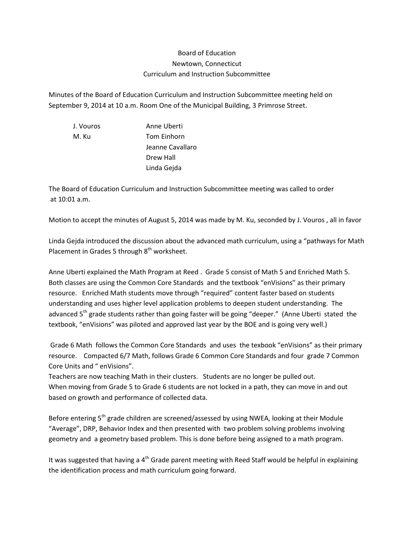## Board of Education Newtown, Connecticut Curriculum and Instruction Subcommittee

Minutes of the Board of Education Curriculum and Instruction Subcommittee meeting held on September 9, 2014 at 10 a.m. Room One of the Municipal Building, 3 Primrose Street.

J. Vouros Anne Uberti M. Ku Tom Einhorn Jeanne Cavallaro Drew Hall Linda Gejda

The Board of Education Curriculum and Instruction Subcommittee meeting was called to order at 10:01 a.m.

Motion to accept the minutes of August 5, 2014 was made by M. Ku, seconded by J. Vouros , all in favor

Linda Gejda introduced the discussion about the advanced math curriculum, using a "pathways for Math Placement in Grades 5 through  $8<sup>th</sup>$  worksheet.

Anne Uberti explained the Math Program at Reed . Grade 5 consist of Math 5 and Enriched Math 5. Both classes are using the Common Core Standards and the textbook "enVisions" as their primary resource. Enriched Math students move through "required" content faster based on students understanding and uses higher level application problems to deepen student understanding. The advanced 5<sup>th</sup> grade students rather than going faster will be going "deeper." (Anne Uberti stated the textbook, "enVisions" was piloted and approved last year by the BOE and is going very well.)

Grade 6 Math follows the Common Core Standards and uses the texbook "enVisions" as their primary resource. Compacted 6/7 Math, follows Grade 6 Common Core Standards and four grade 7 Common Core Units and " enVisions".

Teachers are now teaching Math in their clusters. Students are no longer be pulled out. When moving from Grade 5 to Grade 6 students are not locked in a path, they can move in and out based on growth and performance of collected data.

Before entering  $5<sup>th</sup>$  grade children are screened/assessed by using NWEA, looking at their Module "Average", DRP, Behavior Index and then presented with two problem solving problems involving geometry and a geometry based problem. This is done before being assigned to a math program.

It was suggested that having a  $4<sup>th</sup>$  Grade parent meeting with Reed Staff would be helpful in explaining the identification process and math curriculum going forward.